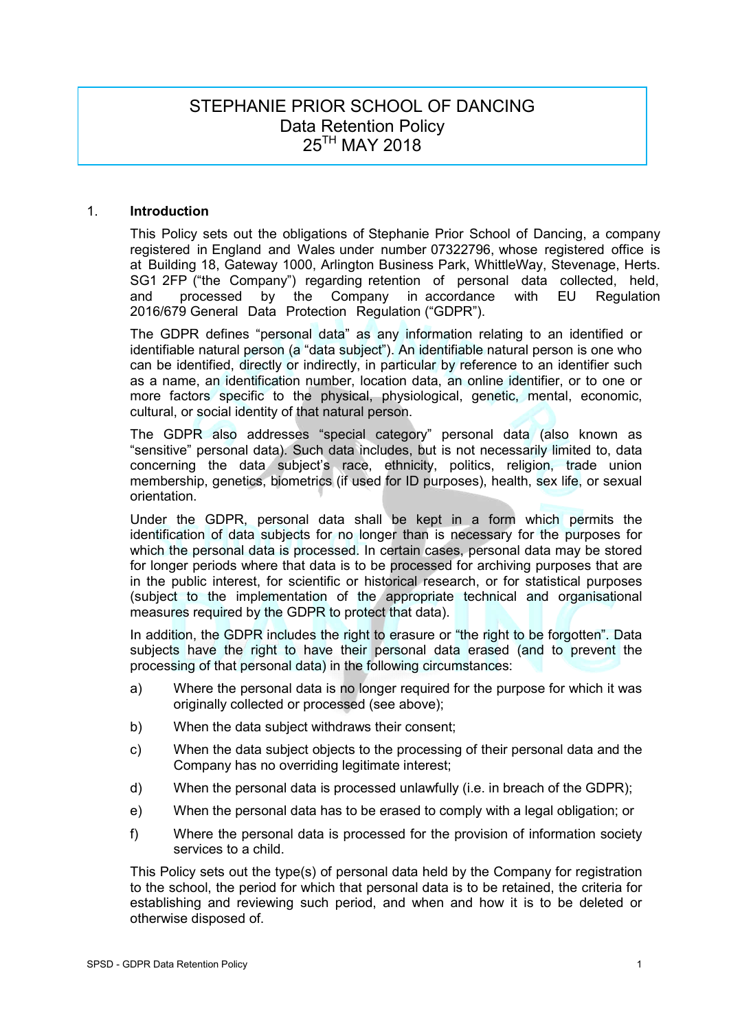# STEPHANIE PRIOR SCHOOL OF DANCING Data Retention Policy 25TH MAY 2018

# 1. **Introduction**

This Policy sets out the obligations of Stephanie Prior School of Dancing, a company registered in England and Wales under number 07322796, whose registered office is at Building 18, Gateway 1000, Arlington Business Park, WhittleWay, Stevenage, Herts. SG1 2FP ("the Company") regarding retention of personal data collected, held, and processed by the Company in accordance with EU Regulation and processed by the Company in accordance with EU Regulation 2016/679 General Data Protection Regulation ("GDPR").

The GDPR defines "personal data" as any information relating to an identified or identifiable natural person (a "data subject"). An identifiable natural person is one who can be identified, directly or indirectly, in particular by reference to an identifier such as a name, an identification number, location data, an online identifier, or to one or more factors specific to the physical, physiological, genetic, mental, economic, cultural, or social identity of that natural person.

The GDPR also addresses "special category" personal data (also known as "sensitive" personal data). Such data includes, but is not necessarily limited to, data concerning the data subject's race, ethnicity, politics, religion, trade union membership, genetics, biometrics (if used for ID purposes), health, sex life, or sexual orientation.

Under the GDPR, personal data shall be kept in a form which permits the identification of data subjects for no longer than is necessary for the purposes for which the personal data is processed. In certain cases, personal data may be stored for longer periods where that data is to be processed for archiving purposes that are in the public interest, for scientific or historical research, or for statistical purposes (subject to the implementation of the appropriate technical and organisational measures required by the GDPR to protect that data).

In addition, the GDPR includes the right to erasure or "the right to be forgotten". Data subjects have the right to have their personal data erased (and to prevent the processing of that personal data) in the following circumstances:

- a) Where the personal data is no longer required for the purpose for which it was originally collected or processed (see above);
- b) When the data subject withdraws their consent;
- c) When the data subject objects to the processing of their personal data and the Company has no overriding legitimate interest;
- d) When the personal data is processed unlawfully (i.e. in breach of the GDPR);
- e) When the personal data has to be erased to comply with a legal obligation; or
- f) Where the personal data is processed for the provision of information society services to a child.

This Policy sets out the type(s) of personal data held by the Company for registration to the school, the period for which that personal data is to be retained, the criteria for establishing and reviewing such period, and when and how it is to be deleted or otherwise disposed of.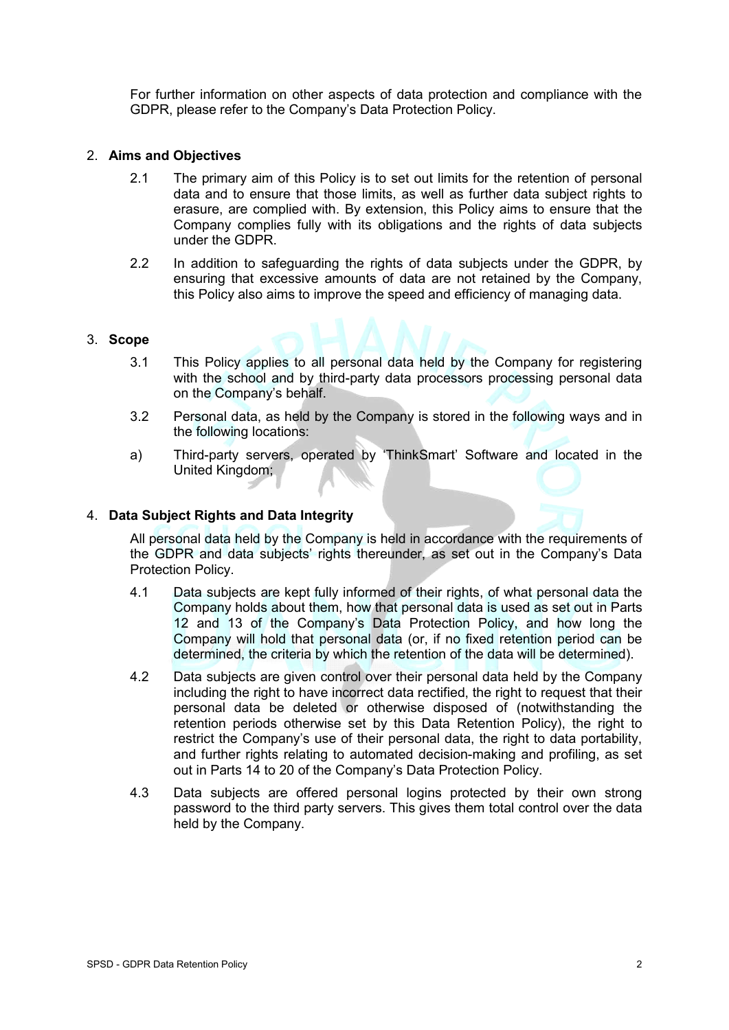For further information on other aspects of data protection and compliance with the GDPR, please refer to the Company's Data Protection Policy.

# 2. **Aims and Objectives**

- 2.1 The primary aim of this Policy is to set out limits for the retention of personal data and to ensure that those limits, as well as further data subject rights to erasure, are complied with. By extension, this Policy aims to ensure that the Company complies fully with its obligations and the rights of data subjects under the GDPR.
- 2.2 In addition to safeguarding the rights of data subjects under the GDPR, by ensuring that excessive amounts of data are not retained by the Company, this Policy also aims to improve the speed and efficiency of managing data.

#### 3. **Scope**

- 3.1 This Policy applies to all personal data held by the Company for registering with the school and by third-party data processors processing personal data on the Company's behalf.
- 3.2 Personal data, as held by the Company is stored in the following ways and in the following locations:
- a) Third-party servers, operated by 'ThinkSmart' Software and located in the United Kingdom;

# 4. **Data Subject Rights and Data Integrity**

All personal data held by the Company is held in accordance with the requirements of the GDPR and data subjects' rights thereunder, as set out in the Company's Data Protection Policy.

- 4.1 Data subjects are kept fully informed of their rights, of what personal data the Company holds about them, how that personal data is used as set out in Parts 12 and 13 of the Company's Data Protection Policy, and how long the Company will hold that personal data (or, if no fixed retention period can be determined, the criteria by which the retention of the data will be determined).
- 4.2 Data subjects are given control over their personal data held by the Company including the right to have incorrect data rectified, the right to request that their personal data be deleted or otherwise disposed of (notwithstanding the retention periods otherwise set by this Data Retention Policy), the right to restrict the Company's use of their personal data, the right to data portability, and further rights relating to automated decision-making and profiling, as set out in Parts 14 to 20 of the Company's Data Protection Policy.
- 4.3 Data subjects are offered personal logins protected by their own strong password to the third party servers. This gives them total control over the data held by the Company.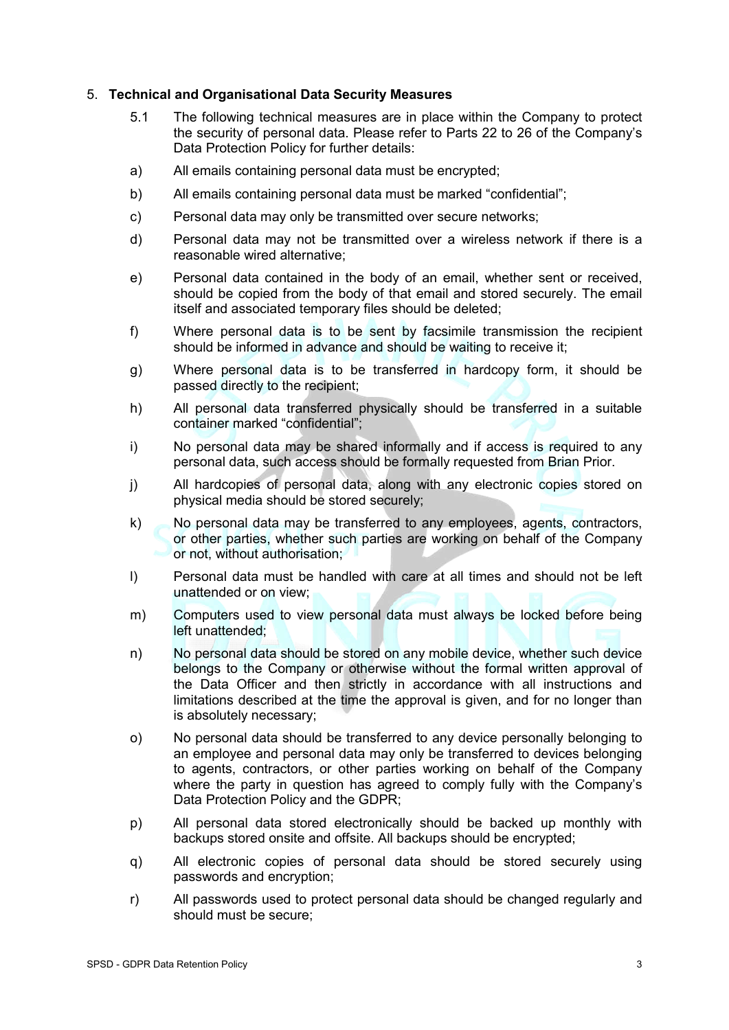# 5. **Technical and Organisational Data Security Measures**

- 5.1 The following technical measures are in place within the Company to protect the security of personal data. Please refer to Parts 22 to 26 of the Company's Data Protection Policy for further details:
- a) All emails containing personal data must be encrypted;
- b) All emails containing personal data must be marked "confidential";
- c) Personal data may only be transmitted over secure networks;
- d) Personal data may not be transmitted over a wireless network if there is a reasonable wired alternative;
- e) Personal data contained in the body of an email, whether sent or received, should be copied from the body of that email and stored securely. The email itself and associated temporary files should be deleted;
- f) Where personal data is to be sent by facsimile transmission the recipient should be informed in advance and should be waiting to receive it;
- g) Where personal data is to be transferred in hardcopy form, it should be passed directly to the recipient;
- h) All personal data transferred physically should be transferred in a suitable container marked "confidential";
- i) No personal data may be shared informally and if access is required to any personal data, such access should be formally requested from Brian Prior.
- j) All hardcopies of personal data, along with any electronic copies stored on physical media should be stored securely;
- k) No personal data may be transferred to any employees, agents, contractors, or other parties, whether such parties are working on behalf of the Company or not, without authorisation;
- l) Personal data must be handled with care at all times and should not be left unattended or on view;
- m) Computers used to view personal data must always be locked before being left unattended;
- n) No personal data should be stored on any mobile device, whether such device belongs to the Company or otherwise without the formal written approval of the Data Officer and then strictly in accordance with all instructions and limitations described at the time the approval is given, and for no longer than is absolutely necessary;
- o) No personal data should be transferred to any device personally belonging to an employee and personal data may only be transferred to devices belonging to agents, contractors, or other parties working on behalf of the Company where the party in question has agreed to comply fully with the Company's Data Protection Policy and the GDPR;
- p) All personal data stored electronically should be backed up monthly with backups stored onsite and offsite. All backups should be encrypted;
- q) All electronic copies of personal data should be stored securely using passwords and encryption;
- r) All passwords used to protect personal data should be changed regularly and should must be secure;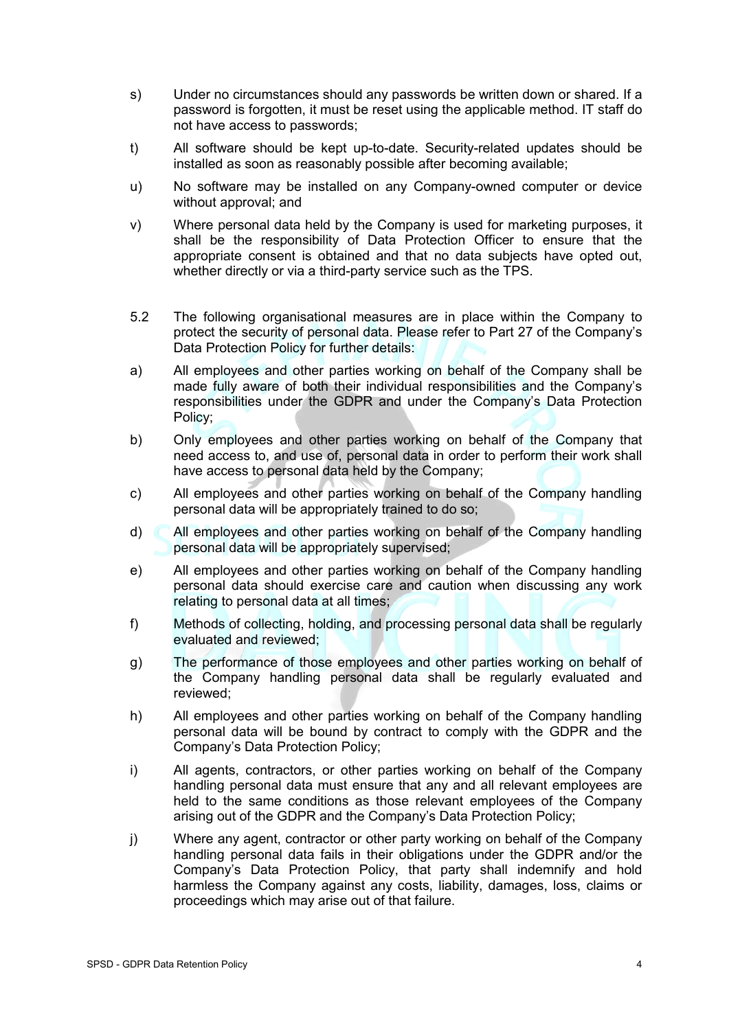- s) Under no circumstances should any passwords be written down or shared. If a password is forgotten, it must be reset using the applicable method. IT staff do not have access to passwords;
- t) All software should be kept up-to-date. Security-related updates should be installed as soon as reasonably possible after becoming available;
- u) No software may be installed on any Company-owned computer or device without approval; and
- v) Where personal data held by the Company is used for marketing purposes, it shall be the responsibility of Data Protection Officer to ensure that the appropriate consent is obtained and that no data subjects have opted out, whether directly or via a third-party service such as the TPS.
- 5.2 The following organisational measures are in place within the Company to protect the security of personal data. Please refer to Part 27 of the Company's Data Protection Policy for further details:
- a) All employees and other parties working on behalf of the Company shall be made fully aware of both their individual responsibilities and the Company's responsibilities under the GDPR and under the Company's Data Protection Policy;
- b) Only employees and other parties working on behalf of the Company that need access to, and use of, personal data in order to perform their work shall have access to personal data held by the Company;
- c) All employees and other parties working on behalf of the Company handling personal data will be appropriately trained to do so;
- d) All employees and other parties working on behalf of the Company handling personal data will be appropriately supervised;
- e) All employees and other parties working on behalf of the Company handling personal data should exercise care and caution when discussing any work relating to personal data at all times;
- f) Methods of collecting, holding, and processing personal data shall be regularly evaluated and reviewed;
- g) The performance of those employees and other parties working on behalf of the Company handling personal data shall be regularly evaluated and reviewed;
- h) All employees and other parties working on behalf of the Company handling personal data will be bound by contract to comply with the GDPR and the Company's Data Protection Policy;
- i) All agents, contractors, or other parties working on behalf of the Company handling personal data must ensure that any and all relevant employees are held to the same conditions as those relevant employees of the Company arising out of the GDPR and the Company's Data Protection Policy;
- j) Where any agent, contractor or other party working on behalf of the Company handling personal data fails in their obligations under the GDPR and/or the Company's Data Protection Policy, that party shall indemnify and hold harmless the Company against any costs, liability, damages, loss, claims or proceedings which may arise out of that failure.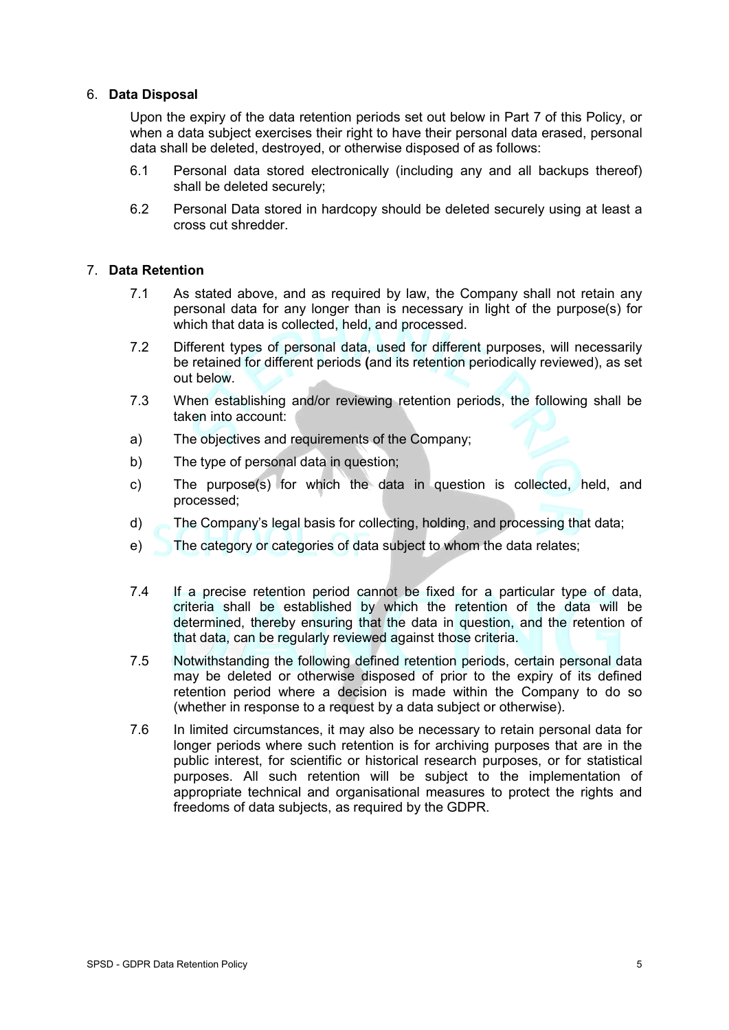# 6. **Data Disposal**

Upon the expiry of the data retention periods set out below in Part 7 of this Policy, or when a data subject exercises their right to have their personal data erased, personal data shall be deleted, destroyed, or otherwise disposed of as follows:

- 6.1 Personal data stored electronically (including any and all backups thereof) shall be deleted securely;
- 6.2 Personal Data stored in hardcopy should be deleted securely using at least a cross cut shredder.

# 7. **Data Retention**

- 7.1 As stated above, and as required by law, the Company shall not retain any personal data for any longer than is necessary in light of the purpose(s) for which that data is collected, held, and processed.
- 7.2 Different types of personal data, used for different purposes, will necessarily be retained for different periods **(**and its retention periodically reviewed), as set out below.
- 7.3 When establishing and/or reviewing retention periods, the following shall be taken into account:
- a) The objectives and requirements of the Company;
- b) The type of personal data in question;
- c) The purpose(s) for which the data in question is collected, held, and processed;
- d) The Company's legal basis for collecting, holding, and processing that data;
- e) The category or categories of data subject to whom the data relates;
- 7.4 If a precise retention period cannot be fixed for a particular type of data, criteria shall be established by which the retention of the data will be determined, thereby ensuring that the data in question, and the retention of that data, can be regularly reviewed against those criteria.
- 7.5 Notwithstanding the following defined retention periods, certain personal data may be deleted or otherwise disposed of prior to the expiry of its defined retention period where a decision is made within the Company to do so (whether in response to a request by a data subject or otherwise).
- 7.6 In limited circumstances, it may also be necessary to retain personal data for longer periods where such retention is for archiving purposes that are in the public interest, for scientific or historical research purposes, or for statistical purposes. All such retention will be subject to the implementation of appropriate technical and organisational measures to protect the rights and freedoms of data subjects, as required by the GDPR.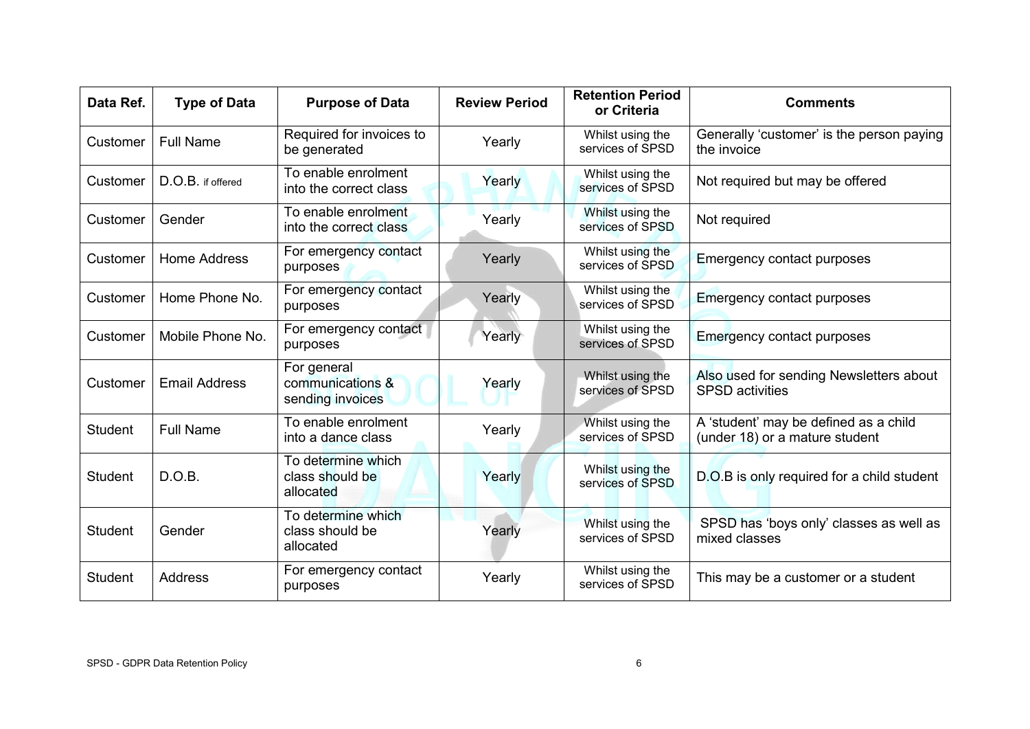| Data Ref.      | <b>Type of Data</b>  | <b>Purpose of Data</b>                              | <b>Review Period</b> | <b>Retention Period</b><br>or Criteria | <b>Comments</b>                                                         |
|----------------|----------------------|-----------------------------------------------------|----------------------|----------------------------------------|-------------------------------------------------------------------------|
| Customer       | <b>Full Name</b>     | Required for invoices to<br>be generated            | Yearly               | Whilst using the<br>services of SPSD   | Generally 'customer' is the person paying<br>the invoice                |
| Customer       | D.O.B. if offered    | To enable enrolment<br>into the correct class       | Yearly               | Whilst using the<br>services of SPSD   | Not required but may be offered                                         |
| Customer       | Gender               | To enable enrolment<br>into the correct class       | Yearly               | Whilst using the<br>services of SPSD   | Not required                                                            |
| Customer       | Home Address         | For emergency contact<br>purposes                   | Yearly               | Whilst using the<br>services of SPSD   | <b>Emergency contact purposes</b>                                       |
| Customer       | Home Phone No.       | For emergency contact<br>purposes                   | Yearly               | Whilst using the<br>services of SPSD   | <b>Emergency contact purposes</b>                                       |
| Customer       | Mobile Phone No.     | For emergency contact<br>purposes                   | Yearly               | Whilst using the<br>services of SPSD   | <b>Emergency contact purposes</b>                                       |
| Customer       | <b>Email Address</b> | For general<br>communications &<br>sending invoices | Yearly               | Whilst using the<br>services of SPSD   | Also used for sending Newsletters about<br><b>SPSD</b> activities       |
| <b>Student</b> | <b>Full Name</b>     | To enable enrolment<br>into a dance class           | Yearly               | Whilst using the<br>services of SPSD   | A 'student' may be defined as a child<br>(under 18) or a mature student |
| <b>Student</b> | D.O.B.               | To determine which<br>class should be<br>allocated  | Yearly               | Whilst using the<br>services of SPSD   | D.O.B is only required for a child student                              |
| <b>Student</b> | Gender               | To determine which<br>class should be<br>allocated  | Yearly               | Whilst using the<br>services of SPSD   | SPSD has 'boys only' classes as well as<br>mixed classes                |
| <b>Student</b> | <b>Address</b>       | For emergency contact<br>purposes                   | Yearly               | Whilst using the<br>services of SPSD   | This may be a customer or a student                                     |